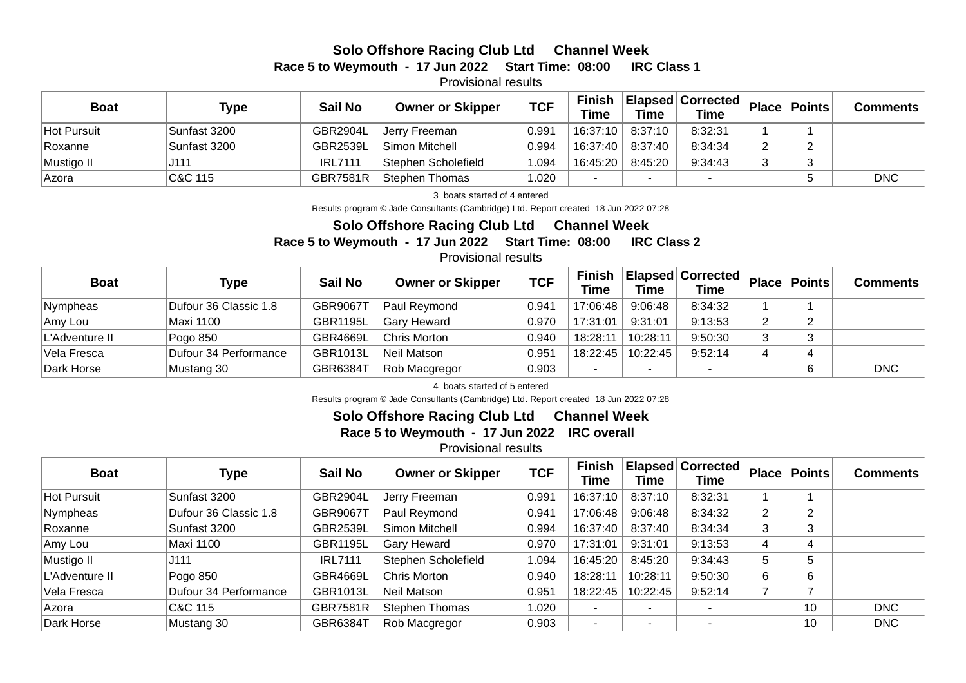## **Solo Offshore Racing Club Ltd Channel Week Race 5 to Weymouth - 17 Jun 2022 Start Time: 08:00 IRC Class 1**

Provisional results

| <b>Boat</b> | Type                           | <b>Sail No</b>  | <b>Owner or Skipper</b> | <b>TCF</b> | Finish<br><b>Time</b> | Time                     | Elapsed   Corrected  <br><b>Time</b> | Place Points | <b>Comments</b> |
|-------------|--------------------------------|-----------------|-------------------------|------------|-----------------------|--------------------------|--------------------------------------|--------------|-----------------|
| Hot Pursuit | Sunfast 3200                   | <b>GBR2904L</b> | IJerrv Freeman          | 0.991      | 16:37:10              | 8:37:10                  | 8:32:31                              |              |                 |
| Roxanne     | Sunfast 3200                   | <b>GBR2539L</b> | Simon Mitchell          | 0.994      | 16:37:40              | 8:37:40                  | 8:34:34                              | $\sim$       |                 |
| Mustigo II  | J111                           | <b>IRL7111</b>  | Stephen Scholefield     | .094       | 16:45:20              | 8:45:20                  | 9:34:43                              | $\sim$       |                 |
| Azora       | $\mathsf{C}\&\mathsf{C}\;$ 115 | <b>GBR7581R</b> | Stephen Thomas          | .020       |                       | $\overline{\phantom{0}}$ | -                                    |              | DNC             |

3 boats started of 4 entered

Results program © Jade Consultants (Cambridge) Ltd. Report created 18 Jun 2022 07:28

**Solo Offshore Racing Club Ltd Channel Week Race 5 to Weymouth - 17 Jun 2022 Start Time: 08:00 IRC Class 2** 

Provisional results

| <b>Boat</b>    | <b>Type</b>           | <b>Sail No</b>  | <b>Owner or Skipper</b> | <b>TCF</b> | Finish<br><b>Time</b> | <b>Time</b> | Elapsed   Corrected  <br><b>Time</b> |               | Place Points | <b>Comments</b> |
|----------------|-----------------------|-----------------|-------------------------|------------|-----------------------|-------------|--------------------------------------|---------------|--------------|-----------------|
| Nympheas       | Dufour 36 Classic 1.8 | <b>GBR9067T</b> | Paul Reymond            | 0.941      | 17:06:48              | 9:06:48     | 8:34:32                              |               |              |                 |
| Amy Lou        | Maxi 1100             | <b>GBR1195L</b> | Gary Heward             | 0.970      | 17:31:01              | 9:31:01     | 9:13:53                              | ົ<br><u>L</u> | C            |                 |
| L'Adventure II | Pogo 850              | <b>GBR4669L</b> | Chris Morton            | 0.940      | 18:28:11              | 10:28:11    | 9:50:30                              | 2             | 3            |                 |
| Vela Fresca    | Dufour 34 Performance | GBR1013L        | Neil Matson             | 0.951      | 18:22:45              | 10:22:45    | 9:52:14                              | 4             | $\Delta$     |                 |
| Dark Horse     | Mustang 30            | <b>GBR6384T</b> | Rob Macgregor           | 0.903      |                       |             |                                      |               | 6            | <b>DNC</b>      |

4 boats started of 5 entered

Results program © Jade Consultants (Cambridge) Ltd. Report created 18 Jun 2022 07:28

## **Solo Offshore Racing Club Ltd Channel Week Race 5 to Weymouth - 17 Jun 2022 IRC overall**

Provisional results

| <b>Boat</b>    | Type                  | Sail No         | <b>Owner or Skipper</b> | <b>TCF</b> | <b>Finish</b><br>Time | Time                     | Elapsed Corrected<br>Time | <b>Place</b> | Points | <b>Comments</b> |
|----------------|-----------------------|-----------------|-------------------------|------------|-----------------------|--------------------------|---------------------------|--------------|--------|-----------------|
| Hot Pursuit    | Sunfast 3200          | <b>GBR2904L</b> | Jerry Freeman           | 0.991      | 16:37:10              | 8:37:10                  | 8:32:31                   |              |        |                 |
| Nympheas       | Dufour 36 Classic 1.8 | <b>GBR9067T</b> | Paul Reymond            | 0.941      | 17:06:48              | 9:06:48                  | 8:34:32                   | 2            | ົ      |                 |
| Roxanne        | Sunfast 3200          | <b>GBR2539L</b> | Simon Mitchell          | 0.994      | 16:37:40              | 8:37:40                  | 8:34:34                   | 3            | 3      |                 |
| Amy Lou        | <b>Maxi 1100</b>      | <b>GBR1195L</b> | Gary Heward             | 0.970      | 17:31:01              | 9:31:01                  | 9:13:53                   | 4            | 4      |                 |
| Mustigo II     | J111                  | <b>IRL7111</b>  | Stephen Scholefield     | 1.094      | 16:45:20              | 8:45:20                  | 9:34:43                   | 5            | 5      |                 |
| L'Adventure II | Pogo 850              | <b>GBR4669L</b> | Chris Morton            | 0.940      | 18:28:11              | 10:28:11                 | 9:50:30                   | 6            | 6      |                 |
| Vela Fresca    | Dufour 34 Performance | GBR1013L        | Neil Matson             | 0.951      | 18:22:45              | 10:22:45                 | 9:52:14                   |              |        |                 |
| ∣Azora         | C&C 115               | <b>GBR7581R</b> | Stephen Thomas          | 1.020      |                       |                          |                           |              | 10     | DNC             |
| Dark Horse     | Mustang 30            | GBR6384T        | Rob Macgregor           | 0.903      | ۰                     | $\overline{\phantom{a}}$ |                           |              | 10     | <b>DNC</b>      |